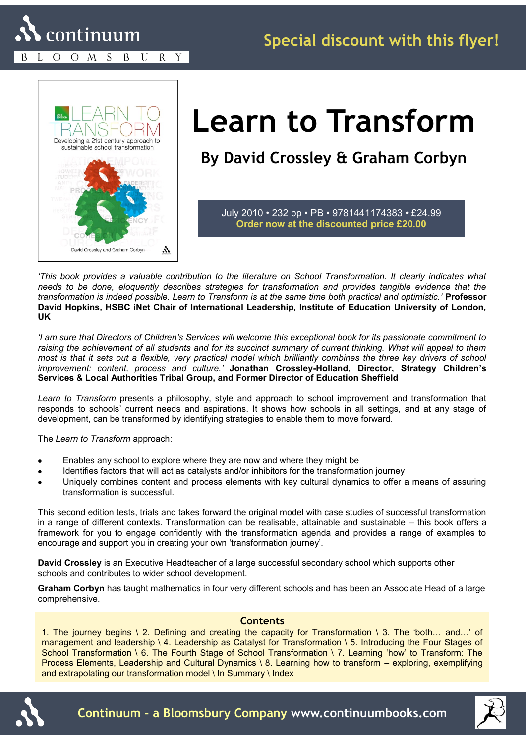O O M S B U R Y



## **Learn to Transform**

**By David Crossley & Graham Corbyn** 

July 2010 • 232 pp • PB • 9781441174383 • £24.99 **Order now at the discounted price £20.00**

*'This book provides a valuable contribution to the literature on School Transformation. It clearly indicates what needs to be done, eloquently describes strategies for transformation and provides tangible evidence that the transformation is indeed possible. Learn to Transform is at the same time both practical and optimistic.'* **Professor David Hopkins, HSBC iNet Chair of International Leadership, Institute of Education University of London, UK** 

*'I am sure that Directors of Children's Services will welcome this exceptional book for its passionate commitment to*  raising the achievement of all students and for its succinct summary of current thinking. What will appeal to them *most is that it sets out a flexible, very practical model which brilliantly combines the three key drivers of school improvement: content, process and culture.'* **Jonathan Crossley-Holland, Director, Strategy Children's Services & Local Authorities Tribal Group, and Former Director of Education Sheffield**

*Learn to Transform* presents a philosophy, style and approach to school improvement and transformation that responds to schools' current needs and aspirations. It shows how schools in all settings, and at any stage of development, can be transformed by identifying strategies to enable them to move forward.

The *Learn to Transform* approach:

- Enables any school to explore where they are now and where they might be
- Identifies factors that will act as catalysts and/or inhibitors for the transformation journey  $\bullet$
- Uniquely combines content and process elements with key cultural dynamics to offer a means of assuring transformation is successful.

This second edition tests, trials and takes forward the original model with case studies of successful transformation in a range of different contexts. Transformation can be realisable, attainable and sustainable – this book offers a framework for you to engage confidently with the transformation agenda and provides a range of examples to encourage and support you in creating your own 'transformation journey'.

**David Crossley** is an Executive Headteacher of a large successful secondary school which supports other schools and contributes to wider school development.

**Graham Corbyn** has taught mathematics in four very different schools and has been an Associate Head of a large comprehensive.

## **Contents**

1. The journey begins \ 2. Defining and creating the capacity for Transformation \ 3. The 'both... and...' of management and leadership \ 4. Leadership as Catalyst for Transformation \ 5. Introducing the Four Stages of School Transformation \ 6. The Fourth Stage of School Transformation \ 7. Learning 'how' to Transform: The Process Elements, Leadership and Cultural Dynamics \ 8. Learning how to transform – exploring, exemplifying and extrapolating our transformation model \ In Summary \ Index